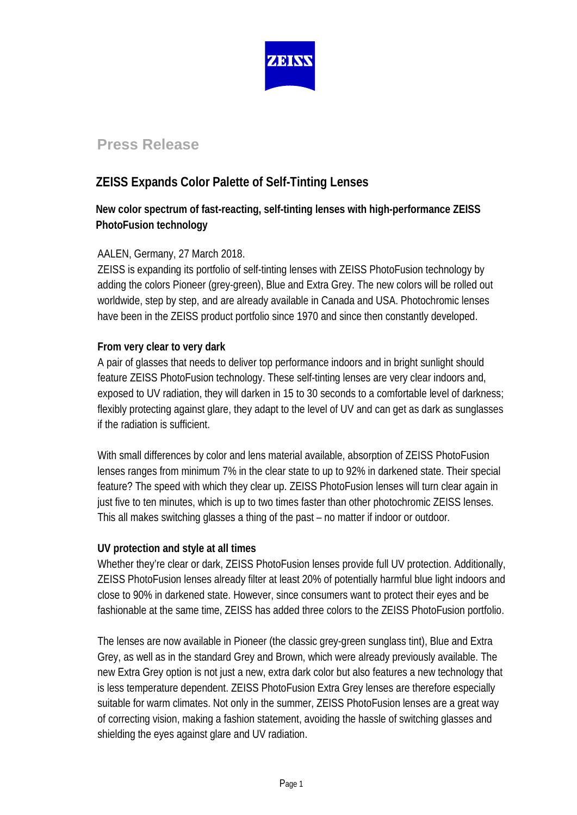

# **Press Release**

## **ZEISS Expands Color Palette of Self-Tinting Lenses**

## **New color spectrum of fast-reacting, self-tinting lenses with high-performance ZEISS PhotoFusion technology**

### AALEN, Germany, 27 March 2018.

ZEISS is expanding its portfolio of self-tinting lenses with ZEISS PhotoFusion technology by adding the colors Pioneer (grey-green), Blue and Extra Grey. The new colors will be rolled out worldwide, step by step, and are already available in Canada and USA. Photochromic lenses have been in the ZEISS product portfolio since 1970 and since then constantly developed.

### **From very clear to very dark**

A pair of glasses that needs to deliver top performance indoors and in bright sunlight should feature ZEISS PhotoFusion technology. These self-tinting lenses are very clear indoors and, exposed to UV radiation, they will darken in 15 to 30 seconds to a comfortable level of darkness; flexibly protecting against glare, they adapt to the level of UV and can get as dark as sunglasses if the radiation is sufficient.

With small differences by color and lens material available, absorption of ZEISS PhotoFusion lenses ranges from minimum 7% in the clear state to up to 92% in darkened state. Their special feature? The speed with which they clear up. ZEISS PhotoFusion lenses will turn clear again in just five to ten minutes, which is up to two times faster than other photochromic ZEISS lenses. This all makes switching glasses a thing of the past – no matter if indoor or outdoor.

### **UV protection and style at all times**

Whether they're clear or dark, ZEISS PhotoFusion lenses provide full UV protection. Additionally, ZEISS PhotoFusion lenses already filter at least 20% of potentially harmful blue light indoors and close to 90% in darkened state. However, since consumers want to protect their eyes and be fashionable at the same time, ZEISS has added three colors to the ZEISS PhotoFusion portfolio.

The lenses are now available in Pioneer (the classic grey-green sunglass tint), Blue and Extra Grey, as well as in the standard Grey and Brown, which were already previously available. The new Extra Grey option is not just a new, extra dark color but also features a new technology that is less temperature dependent. ZEISS PhotoFusion Extra Grey lenses are therefore especially suitable for warm climates. Not only in the summer, ZEISS PhotoFusion lenses are a great way of correcting vision, making a fashion statement, avoiding the hassle of switching glasses and shielding the eyes against glare and UV radiation.